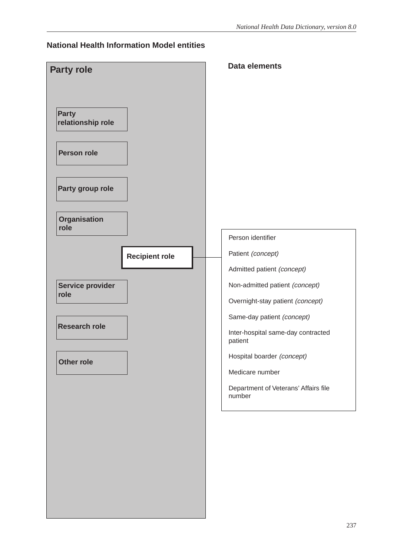#### **National Health Information Model entities**

|                                   | <b>Data elements</b>                           |
|-----------------------------------|------------------------------------------------|
| <b>Party role</b>                 |                                                |
|                                   |                                                |
|                                   |                                                |
| <b>Party</b><br>relationship role |                                                |
|                                   |                                                |
| <b>Person role</b>                |                                                |
| Party group role                  |                                                |
|                                   |                                                |
| <b>Organisation</b><br>role       |                                                |
|                                   | Person identifier                              |
| <b>Recipient role</b>             | Patient (concept)                              |
|                                   | Admitted patient (concept)                     |
| Service provider                  | Non-admitted patient (concept)                 |
| role                              | Overnight-stay patient (concept)               |
|                                   | Same-day patient (concept)                     |
| <b>Research role</b>              | Inter-hospital same-day contracted<br>patient  |
| <b>Other role</b>                 | Hospital boarder (concept)                     |
|                                   | Medicare number                                |
|                                   | Department of Veterans' Affairs file<br>number |
|                                   |                                                |
|                                   |                                                |
|                                   |                                                |
|                                   |                                                |
|                                   |                                                |
|                                   |                                                |
|                                   |                                                |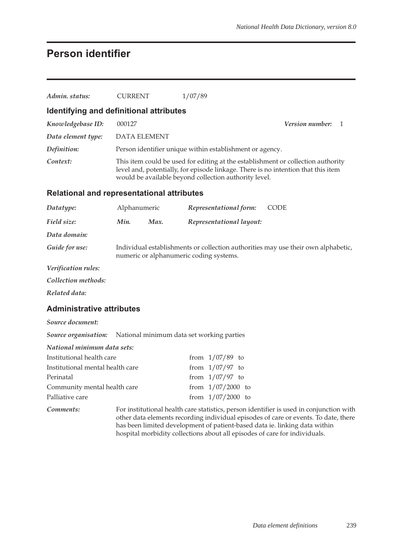## **Person identifier**

| Admin. status:                                    | <b>CURRENT</b>                                                                                                               |                                                                                                                                                                                                                                | 1/07/89                                                  |  |  |  |                                                                                                                                                                                                                                                                                                                                            |
|---------------------------------------------------|------------------------------------------------------------------------------------------------------------------------------|--------------------------------------------------------------------------------------------------------------------------------------------------------------------------------------------------------------------------------|----------------------------------------------------------|--|--|--|--------------------------------------------------------------------------------------------------------------------------------------------------------------------------------------------------------------------------------------------------------------------------------------------------------------------------------------------|
| Identifying and definitional attributes           |                                                                                                                              |                                                                                                                                                                                                                                |                                                          |  |  |  |                                                                                                                                                                                                                                                                                                                                            |
| Knowledgebase ID:                                 | 000127                                                                                                                       |                                                                                                                                                                                                                                |                                                          |  |  |  | Version number:<br>1                                                                                                                                                                                                                                                                                                                       |
| Data element type:                                | <b>DATA ELEMENT</b>                                                                                                          |                                                                                                                                                                                                                                |                                                          |  |  |  |                                                                                                                                                                                                                                                                                                                                            |
| Definition:                                       |                                                                                                                              |                                                                                                                                                                                                                                | Person identifier unique within establishment or agency. |  |  |  |                                                                                                                                                                                                                                                                                                                                            |
| Context:                                          |                                                                                                                              | This item could be used for editing at the establishment or collection authority<br>level and, potentially, for episode linkage. There is no intention that this item<br>would be available beyond collection authority level. |                                                          |  |  |  |                                                                                                                                                                                                                                                                                                                                            |
| <b>Relational and representational attributes</b> |                                                                                                                              |                                                                                                                                                                                                                                |                                                          |  |  |  |                                                                                                                                                                                                                                                                                                                                            |
| Datatype:                                         | Alphanumeric                                                                                                                 |                                                                                                                                                                                                                                | Representational form:                                   |  |  |  | <b>CODE</b>                                                                                                                                                                                                                                                                                                                                |
| Field size:                                       | Min.                                                                                                                         | Max.                                                                                                                                                                                                                           | Representational layout:                                 |  |  |  |                                                                                                                                                                                                                                                                                                                                            |
| Data domain:                                      |                                                                                                                              |                                                                                                                                                                                                                                |                                                          |  |  |  |                                                                                                                                                                                                                                                                                                                                            |
| Guide for use:                                    | Individual establishments or collection authorities may use their own alphabetic,<br>numeric or alphanumeric coding systems. |                                                                                                                                                                                                                                |                                                          |  |  |  |                                                                                                                                                                                                                                                                                                                                            |
| Verification rules:                               |                                                                                                                              |                                                                                                                                                                                                                                |                                                          |  |  |  |                                                                                                                                                                                                                                                                                                                                            |
| Collection methods:                               |                                                                                                                              |                                                                                                                                                                                                                                |                                                          |  |  |  |                                                                                                                                                                                                                                                                                                                                            |
| Related data:                                     |                                                                                                                              |                                                                                                                                                                                                                                |                                                          |  |  |  |                                                                                                                                                                                                                                                                                                                                            |
| <b>Administrative attributes</b>                  |                                                                                                                              |                                                                                                                                                                                                                                |                                                          |  |  |  |                                                                                                                                                                                                                                                                                                                                            |
| Source document:                                  |                                                                                                                              |                                                                                                                                                                                                                                |                                                          |  |  |  |                                                                                                                                                                                                                                                                                                                                            |
| Source organisation:                              |                                                                                                                              |                                                                                                                                                                                                                                | National minimum data set working parties                |  |  |  |                                                                                                                                                                                                                                                                                                                                            |
| National minimum data sets:                       |                                                                                                                              |                                                                                                                                                                                                                                |                                                          |  |  |  |                                                                                                                                                                                                                                                                                                                                            |
| Institutional health care                         |                                                                                                                              |                                                                                                                                                                                                                                | from $1/07/89$ to                                        |  |  |  |                                                                                                                                                                                                                                                                                                                                            |
| Institutional mental health care                  |                                                                                                                              |                                                                                                                                                                                                                                | from $1/07/97$ to                                        |  |  |  |                                                                                                                                                                                                                                                                                                                                            |
| Perinatal                                         |                                                                                                                              |                                                                                                                                                                                                                                | from $1/07/97$ to                                        |  |  |  |                                                                                                                                                                                                                                                                                                                                            |
| Community mental health care                      |                                                                                                                              |                                                                                                                                                                                                                                | from $1/07/2000$ to                                      |  |  |  |                                                                                                                                                                                                                                                                                                                                            |
| Palliative care                                   |                                                                                                                              |                                                                                                                                                                                                                                | from $1/07/2000$ to                                      |  |  |  |                                                                                                                                                                                                                                                                                                                                            |
| Comments:                                         |                                                                                                                              |                                                                                                                                                                                                                                |                                                          |  |  |  | For institutional health care statistics, person identifier is used in conjunction with<br>other data elements recording individual episodes of care or events. To date, there<br>has been limited development of patient-based data ie. linking data within<br>hospital morbidity collections about all episodes of care for individuals. |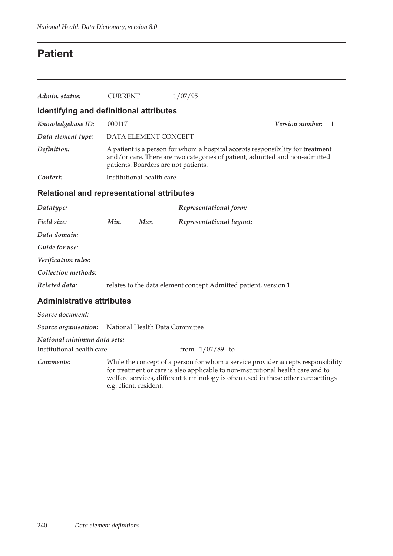## **Patient**

| Admin. status:                                    | <b>CURRENT</b>         |                                                                                                                                                                                                       | 1/07/95                                                                                                                                                                                                                                                    |                      |  |  |
|---------------------------------------------------|------------------------|-------------------------------------------------------------------------------------------------------------------------------------------------------------------------------------------------------|------------------------------------------------------------------------------------------------------------------------------------------------------------------------------------------------------------------------------------------------------------|----------------------|--|--|
| Identifying and definitional attributes           |                        |                                                                                                                                                                                                       |                                                                                                                                                                                                                                                            |                      |  |  |
| Knowledgebase ID:                                 | 000117                 |                                                                                                                                                                                                       |                                                                                                                                                                                                                                                            | Version number:<br>1 |  |  |
| Data element type:                                |                        | DATA ELEMENT CONCEPT                                                                                                                                                                                  |                                                                                                                                                                                                                                                            |                      |  |  |
| Definition:                                       |                        | A patient is a person for whom a hospital accepts responsibility for treatment<br>and/or care. There are two categories of patient, admitted and non-admitted<br>patients. Boarders are not patients. |                                                                                                                                                                                                                                                            |                      |  |  |
| Context:                                          |                        | Institutional health care                                                                                                                                                                             |                                                                                                                                                                                                                                                            |                      |  |  |
| <b>Relational and representational attributes</b> |                        |                                                                                                                                                                                                       |                                                                                                                                                                                                                                                            |                      |  |  |
| Datatype:                                         |                        |                                                                                                                                                                                                       | Representational form:                                                                                                                                                                                                                                     |                      |  |  |
| Field size:                                       | Min.                   | Max.                                                                                                                                                                                                  | Representational layout:                                                                                                                                                                                                                                   |                      |  |  |
| Data domain:                                      |                        |                                                                                                                                                                                                       |                                                                                                                                                                                                                                                            |                      |  |  |
| Guide for use:                                    |                        |                                                                                                                                                                                                       |                                                                                                                                                                                                                                                            |                      |  |  |
| Verification rules:                               |                        |                                                                                                                                                                                                       |                                                                                                                                                                                                                                                            |                      |  |  |
| Collection methods:                               |                        |                                                                                                                                                                                                       |                                                                                                                                                                                                                                                            |                      |  |  |
| Related data:                                     |                        |                                                                                                                                                                                                       | relates to the data element concept Admitted patient, version 1                                                                                                                                                                                            |                      |  |  |
| <b>Administrative attributes</b>                  |                        |                                                                                                                                                                                                       |                                                                                                                                                                                                                                                            |                      |  |  |
| Source document:                                  |                        |                                                                                                                                                                                                       |                                                                                                                                                                                                                                                            |                      |  |  |
| Source organisation:                              |                        | National Health Data Committee                                                                                                                                                                        |                                                                                                                                                                                                                                                            |                      |  |  |
| National minimum data sets:                       |                        |                                                                                                                                                                                                       |                                                                                                                                                                                                                                                            |                      |  |  |
| Institutional health care                         |                        |                                                                                                                                                                                                       | from $1/07/89$ to                                                                                                                                                                                                                                          |                      |  |  |
| Comments:                                         | e.g. client, resident. |                                                                                                                                                                                                       | While the concept of a person for whom a service provider accepts responsibility<br>for treatment or care is also applicable to non-institutional health care and to<br>welfare services, different terminology is often used in these other care settings |                      |  |  |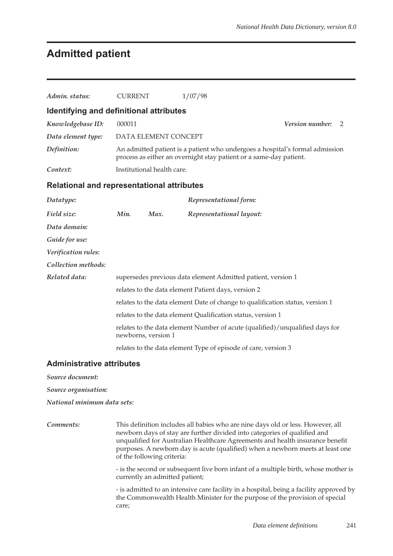### **Admitted patient**

| Admin. status:                                    | <b>CURRENT</b> |                            | 1/07/98                                                                                                                                                                                                                                                                                                                         |                 |   |
|---------------------------------------------------|----------------|----------------------------|---------------------------------------------------------------------------------------------------------------------------------------------------------------------------------------------------------------------------------------------------------------------------------------------------------------------------------|-----------------|---|
| Identifying and definitional attributes           |                |                            |                                                                                                                                                                                                                                                                                                                                 |                 |   |
| Knowledgebase ID:                                 | 000011         |                            |                                                                                                                                                                                                                                                                                                                                 | Version number: | 2 |
| Data element type:                                |                | DATA ELEMENT CONCEPT       |                                                                                                                                                                                                                                                                                                                                 |                 |   |
| Definition:                                       |                |                            | An admitted patient is a patient who undergoes a hospital's formal admission<br>process as either an overnight stay patient or a same-day patient.                                                                                                                                                                              |                 |   |
| Context:                                          |                | Institutional health care. |                                                                                                                                                                                                                                                                                                                                 |                 |   |
| <b>Relational and representational attributes</b> |                |                            |                                                                                                                                                                                                                                                                                                                                 |                 |   |
| Datatype:                                         |                |                            | Representational form:                                                                                                                                                                                                                                                                                                          |                 |   |
| Field size:                                       | Min.           | Max.                       | Representational layout:                                                                                                                                                                                                                                                                                                        |                 |   |
| Data domain:                                      |                |                            |                                                                                                                                                                                                                                                                                                                                 |                 |   |
| Guide for use:                                    |                |                            |                                                                                                                                                                                                                                                                                                                                 |                 |   |
| Verification rules:                               |                |                            |                                                                                                                                                                                                                                                                                                                                 |                 |   |
| Collection methods:                               |                |                            |                                                                                                                                                                                                                                                                                                                                 |                 |   |
| Related data:                                     |                |                            | supersedes previous data element Admitted patient, version 1                                                                                                                                                                                                                                                                    |                 |   |
|                                                   |                |                            | relates to the data element Patient days, version 2                                                                                                                                                                                                                                                                             |                 |   |
|                                                   |                |                            | relates to the data element Date of change to qualification status, version 1                                                                                                                                                                                                                                                   |                 |   |
|                                                   |                |                            | relates to the data element Qualification status, version 1                                                                                                                                                                                                                                                                     |                 |   |
|                                                   |                | newborns, version 1        | relates to the data element Number of acute (qualified)/unqualified days for                                                                                                                                                                                                                                                    |                 |   |
|                                                   |                |                            | relates to the data element Type of episode of care, version 3                                                                                                                                                                                                                                                                  |                 |   |
| <b>Administrative attributes</b>                  |                |                            |                                                                                                                                                                                                                                                                                                                                 |                 |   |
| Source document:                                  |                |                            |                                                                                                                                                                                                                                                                                                                                 |                 |   |
| Source organisation:                              |                |                            |                                                                                                                                                                                                                                                                                                                                 |                 |   |
| National minimum data sets:                       |                |                            |                                                                                                                                                                                                                                                                                                                                 |                 |   |
| Comments:                                         |                | of the following criteria: | This definition includes all babies who are nine days old or less. However, all<br>newborn days of stay are further divided into categories of qualified and<br>unqualified for Australian Healthcare Agreements and health insurance benefit<br>purposes. A newborn day is acute (qualified) when a newborn meets at least one |                 |   |

- is the second or subsequent live born infant of a multiple birth, whose mother is currently an admitted patient;

- is admitted to an intensive care facility in a hospital, being a facility approved by the Commonwealth Health Minister for the purpose of the provision of special care;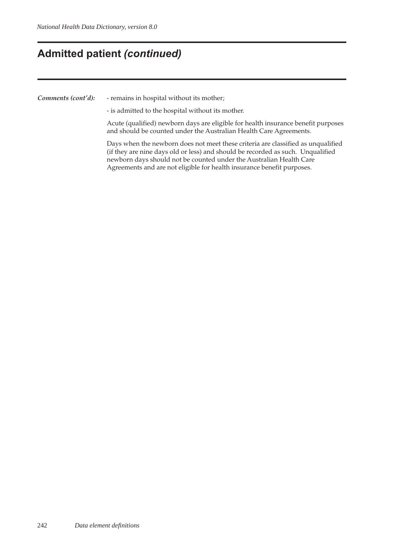### **Admitted patient** *(continued)*

*Comments (cont'd):* - remains in hospital without its mother;

- is admitted to the hospital without its mother.

Acute (qualified) newborn days are eligible for health insurance benefit purposes and should be counted under the Australian Health Care Agreements.

Days when the newborn does not meet these criteria are classified as unqualified (if they are nine days old or less) and should be recorded as such. Unqualified newborn days should not be counted under the Australian Health Care Agreements and are not eligible for health insurance benefit purposes.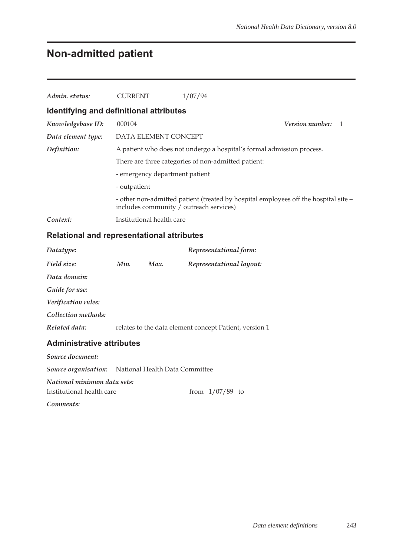### **Non-admitted patient**

| Admin. status:                          | <b>CURRENT</b>                                      | 1/07/94                                                                             |                          |  |  |
|-----------------------------------------|-----------------------------------------------------|-------------------------------------------------------------------------------------|--------------------------|--|--|
| Identifying and definitional attributes |                                                     |                                                                                     |                          |  |  |
| Knowledgebase ID:                       | 000104                                              |                                                                                     | <b>Version number:</b> 1 |  |  |
| Data element type:                      | DATA ELEMENT CONCEPT                                |                                                                                     |                          |  |  |
| Definition:                             |                                                     | A patient who does not undergo a hospital's formal admission process.               |                          |  |  |
|                                         | There are three categories of non-admitted patient: |                                                                                     |                          |  |  |
|                                         | - emergency department patient                      |                                                                                     |                          |  |  |
|                                         | - outpatient                                        |                                                                                     |                          |  |  |
|                                         | includes community / outreach services)             | - other non-admitted patient (treated by hospital employees off the hospital site – |                          |  |  |
| Context:                                | Institutional health care                           |                                                                                     |                          |  |  |

#### **Relational and representational attributes**

| Datatype:           |      |      | Representational form:                                 |
|---------------------|------|------|--------------------------------------------------------|
| Field size:         | Min. | Max. | Representational layout:                               |
| Data domain:        |      |      |                                                        |
| Guide for use:      |      |      |                                                        |
| Verification rules: |      |      |                                                        |
| Collection methods: |      |      |                                                        |
| Related data:       |      |      | relates to the data element concept Patient, version 1 |
| .                   |      |      |                                                        |

#### **Administrative attributes**

*Source document: Source organisation:* National Health Data Committee *National minimum data sets:* Institutional health care  $\frac{1}{07/89}$  to *Comments:*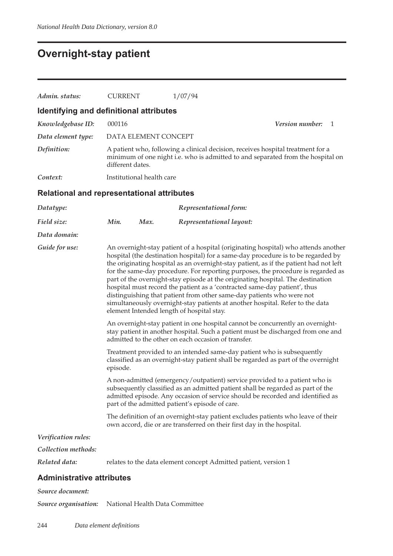## **Overnight-stay patient**

| Admin. status:                                    | <b>CURRENT</b>                                                                                                                                                                                                                                                                                                                                                                                                                                                                                                                                                                                                                                                                                                              | 1/07/94                                                                                                                                                                                                                                                                                            |                      |  |  |
|---------------------------------------------------|-----------------------------------------------------------------------------------------------------------------------------------------------------------------------------------------------------------------------------------------------------------------------------------------------------------------------------------------------------------------------------------------------------------------------------------------------------------------------------------------------------------------------------------------------------------------------------------------------------------------------------------------------------------------------------------------------------------------------------|----------------------------------------------------------------------------------------------------------------------------------------------------------------------------------------------------------------------------------------------------------------------------------------------------|----------------------|--|--|
| Identifying and definitional attributes           |                                                                                                                                                                                                                                                                                                                                                                                                                                                                                                                                                                                                                                                                                                                             |                                                                                                                                                                                                                                                                                                    |                      |  |  |
| Knowledgebase ID:                                 | 000116                                                                                                                                                                                                                                                                                                                                                                                                                                                                                                                                                                                                                                                                                                                      |                                                                                                                                                                                                                                                                                                    | Version number:<br>1 |  |  |
| Data element type:                                | DATA ELEMENT CONCEPT                                                                                                                                                                                                                                                                                                                                                                                                                                                                                                                                                                                                                                                                                                        |                                                                                                                                                                                                                                                                                                    |                      |  |  |
| Definition:                                       | different dates.                                                                                                                                                                                                                                                                                                                                                                                                                                                                                                                                                                                                                                                                                                            | A patient who, following a clinical decision, receives hospital treatment for a<br>minimum of one night i.e. who is admitted to and separated from the hospital on                                                                                                                                 |                      |  |  |
| Context:                                          | Institutional health care                                                                                                                                                                                                                                                                                                                                                                                                                                                                                                                                                                                                                                                                                                   |                                                                                                                                                                                                                                                                                                    |                      |  |  |
| <b>Relational and representational attributes</b> |                                                                                                                                                                                                                                                                                                                                                                                                                                                                                                                                                                                                                                                                                                                             |                                                                                                                                                                                                                                                                                                    |                      |  |  |
| Datatype:                                         |                                                                                                                                                                                                                                                                                                                                                                                                                                                                                                                                                                                                                                                                                                                             | Representational form:                                                                                                                                                                                                                                                                             |                      |  |  |
| Field size:                                       | Min.<br>Max.                                                                                                                                                                                                                                                                                                                                                                                                                                                                                                                                                                                                                                                                                                                | Representational layout:                                                                                                                                                                                                                                                                           |                      |  |  |
| Data domain:                                      |                                                                                                                                                                                                                                                                                                                                                                                                                                                                                                                                                                                                                                                                                                                             |                                                                                                                                                                                                                                                                                                    |                      |  |  |
| Guide for use:                                    | An overnight-stay patient of a hospital (originating hospital) who attends another<br>hospital (the destination hospital) for a same-day procedure is to be regarded by<br>the originating hospital as an overnight-stay patient, as if the patient had not left<br>for the same-day procedure. For reporting purposes, the procedure is regarded as<br>part of the overnight-stay episode at the originating hospital. The destination<br>hospital must record the patient as a 'contracted same-day patient', thus<br>distinguishing that patient from other same-day patients who were not<br>simultaneously overnight-stay patients at another hospital. Refer to the data<br>element Intended length of hospital stay. |                                                                                                                                                                                                                                                                                                    |                      |  |  |
|                                                   |                                                                                                                                                                                                                                                                                                                                                                                                                                                                                                                                                                                                                                                                                                                             | An overnight-stay patient in one hospital cannot be concurrently an overnight-<br>stay patient in another hospital. Such a patient must be discharged from one and<br>admitted to the other on each occasion of transfer.                                                                          |                      |  |  |
|                                                   | episode.                                                                                                                                                                                                                                                                                                                                                                                                                                                                                                                                                                                                                                                                                                                    | Treatment provided to an intended same-day patient who is subsequently<br>classified as an overnight-stay patient shall be regarded as part of the overnight                                                                                                                                       |                      |  |  |
|                                                   |                                                                                                                                                                                                                                                                                                                                                                                                                                                                                                                                                                                                                                                                                                                             | A non-admitted (emergency/outpatient) service provided to a patient who is<br>subsequently classified as an admitted patient shall be regarded as part of the<br>admitted episode. Any occasion of service should be recorded and identified as<br>part of the admitted patient's episode of care. |                      |  |  |
|                                                   |                                                                                                                                                                                                                                                                                                                                                                                                                                                                                                                                                                                                                                                                                                                             | The definition of an overnight-stay patient excludes patients who leave of their<br>own accord, die or are transferred on their first day in the hospital.                                                                                                                                         |                      |  |  |
| Verification rules:                               |                                                                                                                                                                                                                                                                                                                                                                                                                                                                                                                                                                                                                                                                                                                             |                                                                                                                                                                                                                                                                                                    |                      |  |  |
| Collection methods:                               |                                                                                                                                                                                                                                                                                                                                                                                                                                                                                                                                                                                                                                                                                                                             |                                                                                                                                                                                                                                                                                                    |                      |  |  |
| Related data:                                     |                                                                                                                                                                                                                                                                                                                                                                                                                                                                                                                                                                                                                                                                                                                             | relates to the data element concept Admitted patient, version 1                                                                                                                                                                                                                                    |                      |  |  |
| <b>Administrative attributes</b>                  |                                                                                                                                                                                                                                                                                                                                                                                                                                                                                                                                                                                                                                                                                                                             |                                                                                                                                                                                                                                                                                                    |                      |  |  |
| Source document:                                  |                                                                                                                                                                                                                                                                                                                                                                                                                                                                                                                                                                                                                                                                                                                             |                                                                                                                                                                                                                                                                                                    |                      |  |  |

*Source organisation:* National Health Data Committee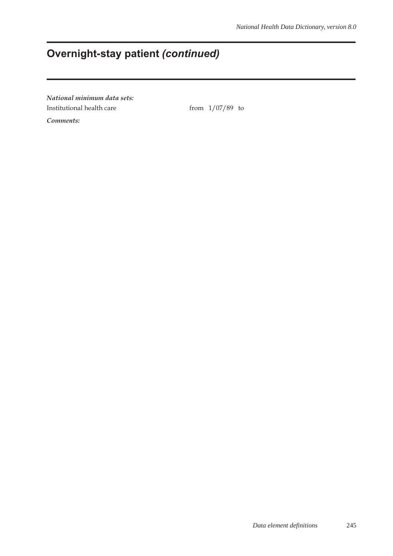## **Overnight-stay patient** *(continued)*

*National minimum data sets:* Institutional health care from  $1/07/89$  to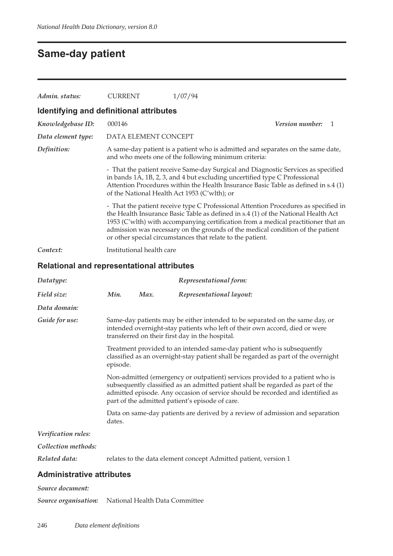### **Same-day patient**

| Admin. status:                          | <b>CURRENT</b>                                                                                                                          | 1/07/94                                                                                                                                                                                                                                                                                                                                                                                                       |                 |  |  |
|-----------------------------------------|-----------------------------------------------------------------------------------------------------------------------------------------|---------------------------------------------------------------------------------------------------------------------------------------------------------------------------------------------------------------------------------------------------------------------------------------------------------------------------------------------------------------------------------------------------------------|-----------------|--|--|
| Identifying and definitional attributes |                                                                                                                                         |                                                                                                                                                                                                                                                                                                                                                                                                               |                 |  |  |
| Knowledgebase ID:                       | 000146                                                                                                                                  |                                                                                                                                                                                                                                                                                                                                                                                                               | Version number: |  |  |
| Data element type:                      | DATA ELEMENT CONCEPT                                                                                                                    |                                                                                                                                                                                                                                                                                                                                                                                                               |                 |  |  |
| Definition:                             | A same-day patient is a patient who is admitted and separates on the same date,<br>and who meets one of the following minimum criteria: |                                                                                                                                                                                                                                                                                                                                                                                                               |                 |  |  |
|                                         |                                                                                                                                         | - That the patient receive Same-day Surgical and Diagnostic Services as specified<br>in bands 1A, 1B, 2, 3, and 4 but excluding uncertified type C Professional<br>Attention Procedures within the Health Insurance Basic Table as defined in s.4 (1)<br>of the National Health Act 1953 (C'wlth); or                                                                                                         |                 |  |  |
|                                         |                                                                                                                                         | - That the patient receive type C Professional Attention Procedures as specified in<br>the Health Insurance Basic Table as defined in s.4 (1) of the National Health Act<br>1953 (C'wlth) with accompanying certification from a medical practitioner that an<br>admission was necessary on the grounds of the medical condition of the patient<br>or other special circumstances that relate to the patient. |                 |  |  |
| Context:                                | Institutional health care                                                                                                               |                                                                                                                                                                                                                                                                                                                                                                                                               |                 |  |  |

#### **Relational and representational attributes**

| Datatype:                        |                                                                                                                                                                                                                                                                                                      |      | Representational form:                                                                                                                                                                                         |  |
|----------------------------------|------------------------------------------------------------------------------------------------------------------------------------------------------------------------------------------------------------------------------------------------------------------------------------------------------|------|----------------------------------------------------------------------------------------------------------------------------------------------------------------------------------------------------------------|--|
| Field size:                      | Min.                                                                                                                                                                                                                                                                                                 | Max. | Representational layout:                                                                                                                                                                                       |  |
| Data domain:                     |                                                                                                                                                                                                                                                                                                      |      |                                                                                                                                                                                                                |  |
| Guide for use:                   |                                                                                                                                                                                                                                                                                                      |      | Same-day patients may be either intended to be separated on the same day, or<br>intended overnight-stay patients who left of their own accord, died or were<br>transferred on their first day in the hospital. |  |
|                                  | episode.                                                                                                                                                                                                                                                                                             |      | Treatment provided to an intended same-day patient who is subsequently<br>classified as an overnight-stay patient shall be regarded as part of the overnight                                                   |  |
|                                  | Non-admitted (emergency or outpatient) services provided to a patient who is<br>subsequently classified as an admitted patient shall be regarded as part of the<br>admitted episode. Any occasion of service should be recorded and identified as<br>part of the admitted patient's episode of care. |      |                                                                                                                                                                                                                |  |
|                                  | dates.                                                                                                                                                                                                                                                                                               |      | Data on same-day patients are derived by a review of admission and separation                                                                                                                                  |  |
| Verification rules:              |                                                                                                                                                                                                                                                                                                      |      |                                                                                                                                                                                                                |  |
| Collection methods:              |                                                                                                                                                                                                                                                                                                      |      |                                                                                                                                                                                                                |  |
| Related data:                    |                                                                                                                                                                                                                                                                                                      |      | relates to the data element concept Admitted patient, version 1                                                                                                                                                |  |
| <b>Administrative attributes</b> |                                                                                                                                                                                                                                                                                                      |      |                                                                                                                                                                                                                |  |
| Source document:                 |                                                                                                                                                                                                                                                                                                      |      |                                                                                                                                                                                                                |  |

*Source organisation:* National Health Data Committee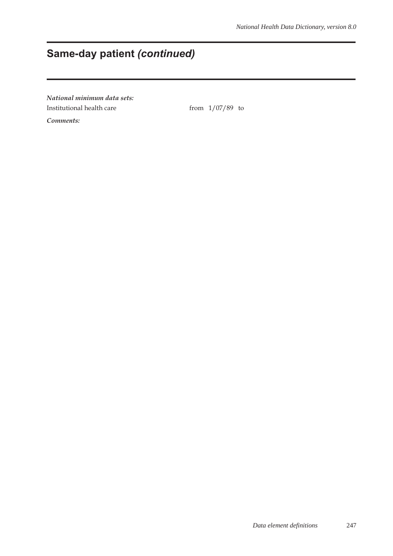## **Same-day patient** *(continued)*

*National minimum data sets:* Institutional health care from  $1/07/89$  to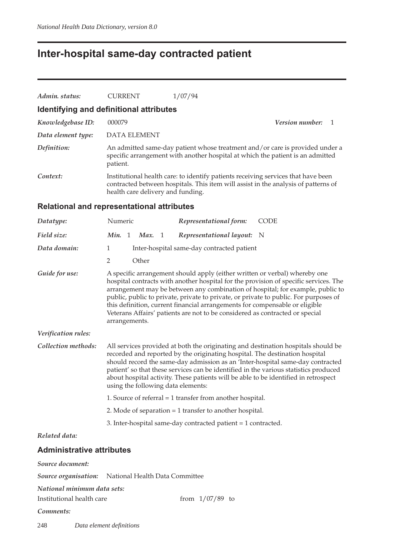## **Inter-hospital same-day contracted patient**

| Admin. status:                                           | <b>CURRENT</b>                                                                                                                                                                                                                                                                                                                                                                                                                                                                                                               | 1/07/94                                                                                                                                                                                                      |                                                                                                                                                                                                                                                             |  |  |  |  |
|----------------------------------------------------------|------------------------------------------------------------------------------------------------------------------------------------------------------------------------------------------------------------------------------------------------------------------------------------------------------------------------------------------------------------------------------------------------------------------------------------------------------------------------------------------------------------------------------|--------------------------------------------------------------------------------------------------------------------------------------------------------------------------------------------------------------|-------------------------------------------------------------------------------------------------------------------------------------------------------------------------------------------------------------------------------------------------------------|--|--|--|--|
|                                                          | Identifying and definitional attributes                                                                                                                                                                                                                                                                                                                                                                                                                                                                                      |                                                                                                                                                                                                              |                                                                                                                                                                                                                                                             |  |  |  |  |
| Knowledgebase ID:                                        | 000079                                                                                                                                                                                                                                                                                                                                                                                                                                                                                                                       |                                                                                                                                                                                                              | Version number:<br>$\mathbf{1}$                                                                                                                                                                                                                             |  |  |  |  |
| Data element type:                                       | <b>DATA ELEMENT</b>                                                                                                                                                                                                                                                                                                                                                                                                                                                                                                          |                                                                                                                                                                                                              |                                                                                                                                                                                                                                                             |  |  |  |  |
| Definition:                                              | patient.                                                                                                                                                                                                                                                                                                                                                                                                                                                                                                                     | specific arrangement with another hospital at which the patient is an admitted                                                                                                                               | An admitted same-day patient whose treatment and/or care is provided under a                                                                                                                                                                                |  |  |  |  |
| Context:                                                 |                                                                                                                                                                                                                                                                                                                                                                                                                                                                                                                              | Institutional health care: to identify patients receiving services that have been<br>contracted between hospitals. This item will assist in the analysis of patterns of<br>health care delivery and funding. |                                                                                                                                                                                                                                                             |  |  |  |  |
|                                                          | <b>Relational and representational attributes</b>                                                                                                                                                                                                                                                                                                                                                                                                                                                                            |                                                                                                                                                                                                              |                                                                                                                                                                                                                                                             |  |  |  |  |
| Datatype:                                                | Numeric                                                                                                                                                                                                                                                                                                                                                                                                                                                                                                                      | Representational form:                                                                                                                                                                                       | <b>CODE</b>                                                                                                                                                                                                                                                 |  |  |  |  |
| Field size:                                              | Min. 1<br>Max. 1                                                                                                                                                                                                                                                                                                                                                                                                                                                                                                             | Representational layout:                                                                                                                                                                                     | - N                                                                                                                                                                                                                                                         |  |  |  |  |
| Data domain:                                             | $\mathbf{1}$                                                                                                                                                                                                                                                                                                                                                                                                                                                                                                                 | Inter-hospital same-day contracted patient                                                                                                                                                                   |                                                                                                                                                                                                                                                             |  |  |  |  |
|                                                          | $\overline{2}$<br>Other                                                                                                                                                                                                                                                                                                                                                                                                                                                                                                      |                                                                                                                                                                                                              |                                                                                                                                                                                                                                                             |  |  |  |  |
| Guide for use:                                           | A specific arrangement should apply (either written or verbal) whereby one<br>hospital contracts with another hospital for the provision of specific services. The<br>arrangement may be between any combination of hospital; for example, public to<br>public, public to private, private to private, or private to public. For purposes of<br>this definition, current financial arrangements for compensable or eligible<br>Veterans Affairs' patients are not to be considered as contracted or special<br>arrangements. |                                                                                                                                                                                                              |                                                                                                                                                                                                                                                             |  |  |  |  |
| Verification rules:                                      |                                                                                                                                                                                                                                                                                                                                                                                                                                                                                                                              |                                                                                                                                                                                                              |                                                                                                                                                                                                                                                             |  |  |  |  |
| Collection methods:                                      | using the following data elements:                                                                                                                                                                                                                                                                                                                                                                                                                                                                                           | recorded and reported by the originating hospital. The destination hospital<br>about hospital activity. These patients will be able to be identified in retrospect                                           | All services provided at both the originating and destination hospitals should be<br>should record the same-day admission as an 'Inter-hospital same-day contracted<br>patient' so that these services can be identified in the various statistics produced |  |  |  |  |
|                                                          |                                                                                                                                                                                                                                                                                                                                                                                                                                                                                                                              | 1. Source of referral = 1 transfer from another hospital.                                                                                                                                                    |                                                                                                                                                                                                                                                             |  |  |  |  |
|                                                          |                                                                                                                                                                                                                                                                                                                                                                                                                                                                                                                              | 2. Mode of separation = 1 transfer to another hospital.                                                                                                                                                      |                                                                                                                                                                                                                                                             |  |  |  |  |
|                                                          |                                                                                                                                                                                                                                                                                                                                                                                                                                                                                                                              | 3. Inter-hospital same-day contracted patient = 1 contracted.                                                                                                                                                |                                                                                                                                                                                                                                                             |  |  |  |  |
| Related data:                                            |                                                                                                                                                                                                                                                                                                                                                                                                                                                                                                                              |                                                                                                                                                                                                              |                                                                                                                                                                                                                                                             |  |  |  |  |
| <b>Administrative attributes</b>                         |                                                                                                                                                                                                                                                                                                                                                                                                                                                                                                                              |                                                                                                                                                                                                              |                                                                                                                                                                                                                                                             |  |  |  |  |
| Source document:                                         |                                                                                                                                                                                                                                                                                                                                                                                                                                                                                                                              |                                                                                                                                                                                                              |                                                                                                                                                                                                                                                             |  |  |  |  |
| Source organisation:                                     | National Health Data Committee                                                                                                                                                                                                                                                                                                                                                                                                                                                                                               |                                                                                                                                                                                                              |                                                                                                                                                                                                                                                             |  |  |  |  |
| National minimum data sets:<br>Institutional health care |                                                                                                                                                                                                                                                                                                                                                                                                                                                                                                                              | from $1/07/89$ to                                                                                                                                                                                            |                                                                                                                                                                                                                                                             |  |  |  |  |
| Comments:                                                |                                                                                                                                                                                                                                                                                                                                                                                                                                                                                                                              |                                                                                                                                                                                                              |                                                                                                                                                                                                                                                             |  |  |  |  |
| 248                                                      | Data element definitions                                                                                                                                                                                                                                                                                                                                                                                                                                                                                                     |                                                                                                                                                                                                              |                                                                                                                                                                                                                                                             |  |  |  |  |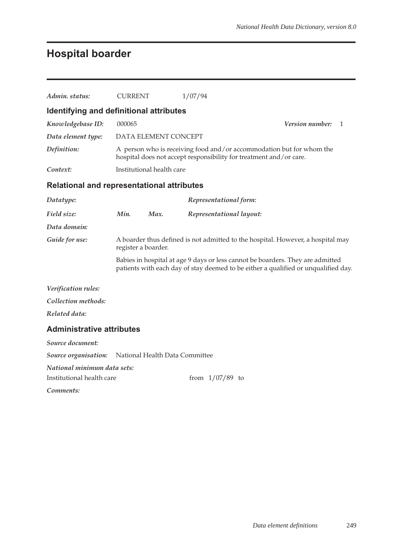## **Hospital boarder**

| Admin. status:                                           | <b>CURRENT</b>                                                                                                                             |                                | 1/07/94 |                          |                                                                                                                                                                      |  |                 |   |
|----------------------------------------------------------|--------------------------------------------------------------------------------------------------------------------------------------------|--------------------------------|---------|--------------------------|----------------------------------------------------------------------------------------------------------------------------------------------------------------------|--|-----------------|---|
| Identifying and definitional attributes                  |                                                                                                                                            |                                |         |                          |                                                                                                                                                                      |  |                 |   |
| Knowledgebase ID:                                        | 000065                                                                                                                                     |                                |         |                          |                                                                                                                                                                      |  | Version number: | 1 |
| Data element type:                                       |                                                                                                                                            | DATA ELEMENT CONCEPT           |         |                          |                                                                                                                                                                      |  |                 |   |
| Definition:                                              | A person who is receiving food and/or accommodation but for whom the<br>hospital does not accept responsibility for treatment and/or care. |                                |         |                          |                                                                                                                                                                      |  |                 |   |
| Context:                                                 |                                                                                                                                            | Institutional health care      |         |                          |                                                                                                                                                                      |  |                 |   |
| <b>Relational and representational attributes</b>        |                                                                                                                                            |                                |         |                          |                                                                                                                                                                      |  |                 |   |
| Datatype:                                                |                                                                                                                                            |                                |         | Representational form:   |                                                                                                                                                                      |  |                 |   |
| Field size:                                              | Min.                                                                                                                                       | Max.                           |         | Representational layout: |                                                                                                                                                                      |  |                 |   |
| Data domain:                                             |                                                                                                                                            |                                |         |                          |                                                                                                                                                                      |  |                 |   |
| Guide for use:                                           | register a boarder.                                                                                                                        |                                |         |                          | A boarder thus defined is not admitted to the hospital. However, a hospital may                                                                                      |  |                 |   |
|                                                          |                                                                                                                                            |                                |         |                          | Babies in hospital at age 9 days or less cannot be boarders. They are admitted<br>patients with each day of stay deemed to be either a qualified or unqualified day. |  |                 |   |
| Verification rules:                                      |                                                                                                                                            |                                |         |                          |                                                                                                                                                                      |  |                 |   |
| Collection methods:                                      |                                                                                                                                            |                                |         |                          |                                                                                                                                                                      |  |                 |   |
| Related data:                                            |                                                                                                                                            |                                |         |                          |                                                                                                                                                                      |  |                 |   |
| <b>Administrative attributes</b>                         |                                                                                                                                            |                                |         |                          |                                                                                                                                                                      |  |                 |   |
| Source document:                                         |                                                                                                                                            |                                |         |                          |                                                                                                                                                                      |  |                 |   |
| Source organisation:                                     |                                                                                                                                            | National Health Data Committee |         |                          |                                                                                                                                                                      |  |                 |   |
| National minimum data sets:<br>Institutional health care |                                                                                                                                            |                                |         | from $1/07/89$ to        |                                                                                                                                                                      |  |                 |   |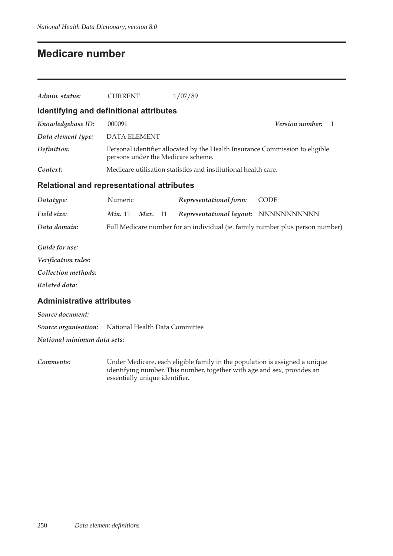### **Medicare number**

| Admin. status:                                    | <b>CURRENT</b>                     | 1/07/89                                                                       |                                        |  |  |
|---------------------------------------------------|------------------------------------|-------------------------------------------------------------------------------|----------------------------------------|--|--|
| Identifying and definitional attributes           |                                    |                                                                               |                                        |  |  |
| Knowledgebase ID:                                 | 000091                             |                                                                               | <b>Version number:</b><br>$\mathbf{1}$ |  |  |
| Data element type:                                | <b>DATA ELEMENT</b>                |                                                                               |                                        |  |  |
| Definition:                                       | persons under the Medicare scheme. | Personal identifier allocated by the Health Insurance Commission to eligible  |                                        |  |  |
| Context:                                          |                                    | Medicare utilisation statistics and institutional health care.                |                                        |  |  |
| <b>Relational and representational attributes</b> |                                    |                                                                               |                                        |  |  |
| Datatype:                                         | Numeric                            | Representational form:                                                        | <b>CODE</b>                            |  |  |
| Field size:                                       | Min. 11<br>Max.<br>11              | Representational layout: NNNNNNNNNNNN                                         |                                        |  |  |
| Data domain:                                      |                                    | Full Medicare number for an individual (ie. family number plus person number) |                                        |  |  |
| Guide for use:                                    |                                    |                                                                               |                                        |  |  |
| Verification rules:                               |                                    |                                                                               |                                        |  |  |
| Collection methods:                               |                                    |                                                                               |                                        |  |  |
| Related data:                                     |                                    |                                                                               |                                        |  |  |
| <b>Administrative attributes</b>                  |                                    |                                                                               |                                        |  |  |
| Source document:                                  |                                    |                                                                               |                                        |  |  |
| Source organisation:                              | National Health Data Committee     |                                                                               |                                        |  |  |
| National minimum data sets:                       |                                    |                                                                               |                                        |  |  |
|                                                   |                                    |                                                                               |                                        |  |  |

*Comments:* Under Medicare, each eligible family in the population is assigned a unique identifying number. This number, together with age and sex, provides an essentially unique identifier.